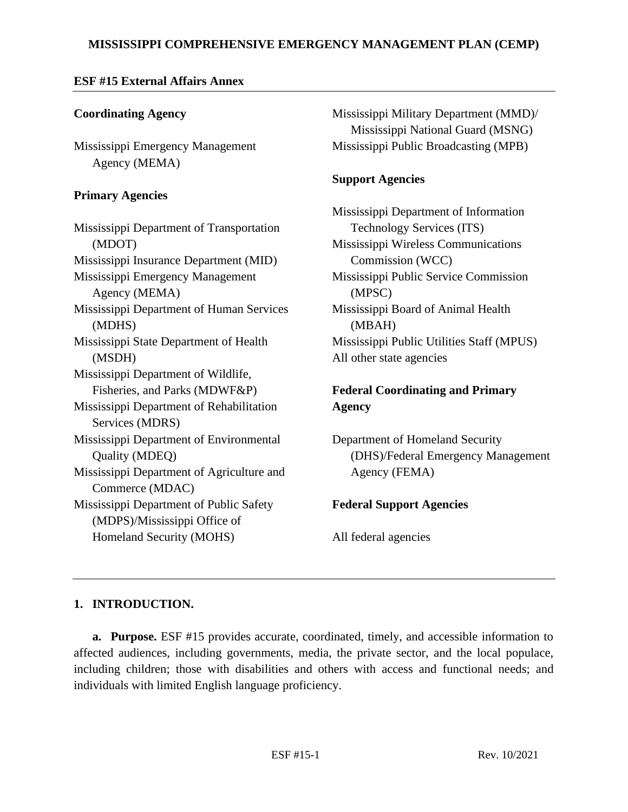### **MISSISSIPPI COMPREHENSIVE EMERGENCY MANAGEMENT PLAN (CEMP)**

### **ESF #15 External Affairs Annex**

### **Coordinating Agency**

Mississippi Emergency Management Agency (MEMA)

### **Primary Agencies**

Mississippi Department of Transportation (MDOT) Mississippi Insurance Department (MID) Mississippi Emergency Management Agency (MEMA) Mississippi Department of Human Services (MDHS) Mississippi State Department of Health (MSDH) Mississippi Department of Wildlife, Fisheries, and Parks (MDWF&P) Mississippi Department of Rehabilitation Services (MDRS) Mississippi Department of Environmental Quality (MDEQ) Mississippi Department of Agriculture and Commerce (MDAC) Mississippi Department of Public Safety (MDPS)/Mississippi Office of Homeland Security (MOHS)

Mississippi Military Department (MMD)/ Mississippi National Guard (MSNG) Mississippi Public Broadcasting (MPB)

### **Support Agencies**

Mississippi Department of Information Technology Services (ITS) Mississippi Wireless Communications Commission (WCC) Mississippi Public Service Commission (MPSC) Mississippi Board of Animal Health (MBAH) Mississippi Public Utilities Staff (MPUS) All other state agencies

## **Federal Coordinating and Primary Agency**

Department of Homeland Security (DHS)/Federal Emergency Management Agency (FEMA)

# **Federal Support Agencies**

All federal agencies

## **1. INTRODUCTION.**

**a. Purpose.** ESF #15 provides accurate, coordinated, timely, and accessible information to affected audiences, including governments, media, the private sector, and the local populace, including children; those with disabilities and others with access and functional needs; and individuals with limited English language proficiency.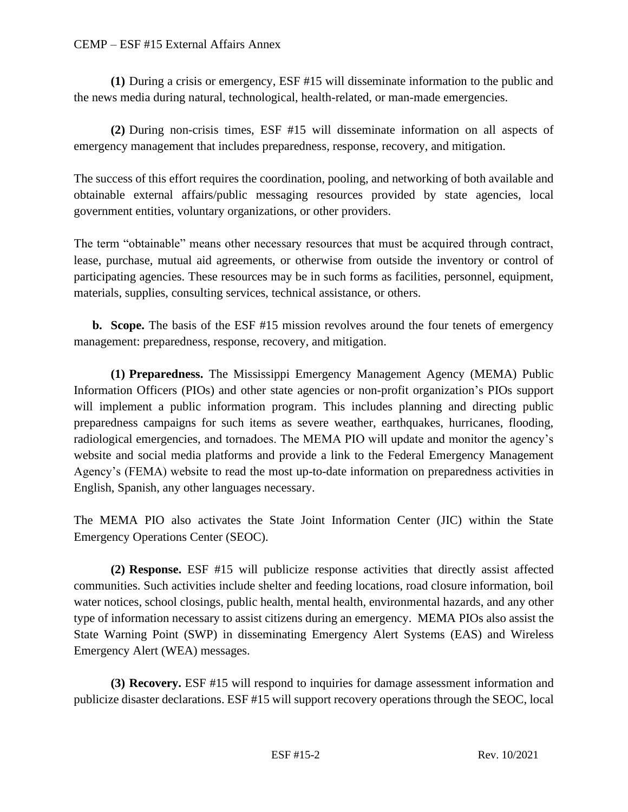#### CEMP – ESF #15 External Affairs Annex

**(1)** During a crisis or emergency, ESF #15 will disseminate information to the public and the news media during natural, technological, health-related, or man-made emergencies.

**(2)** During non-crisis times, ESF #15 will disseminate information on all aspects of emergency management that includes preparedness, response, recovery, and mitigation.

The success of this effort requires the coordination, pooling, and networking of both available and obtainable external affairs/public messaging resources provided by state agencies, local government entities, voluntary organizations, or other providers.

The term "obtainable" means other necessary resources that must be acquired through contract, lease, purchase, mutual aid agreements, or otherwise from outside the inventory or control of participating agencies. These resources may be in such forms as facilities, personnel, equipment, materials, supplies, consulting services, technical assistance, or others.

**b. Scope.** The basis of the ESF #15 mission revolves around the four tenets of emergency management: preparedness, response, recovery, and mitigation.

**(1) Preparedness.** The Mississippi Emergency Management Agency (MEMA) Public Information Officers (PIOs) and other state agencies or non-profit organization's PIOs support will implement a public information program. This includes planning and directing public preparedness campaigns for such items as severe weather, earthquakes, hurricanes, flooding, radiological emergencies, and tornadoes. The MEMA PIO will update and monitor the agency's website and social media platforms and provide a link to the Federal Emergency Management Agency's (FEMA) website to read the most up-to-date information on preparedness activities in English, Spanish, any other languages necessary.

The MEMA PIO also activates the State Joint Information Center (JIC) within the State Emergency Operations Center (SEOC).

**(2) Response.** ESF #15 will publicize response activities that directly assist affected communities. Such activities include shelter and feeding locations, road closure information, boil water notices, school closings, public health, mental health, environmental hazards, and any other type of information necessary to assist citizens during an emergency. MEMA PIOs also assist the State Warning Point (SWP) in disseminating Emergency Alert Systems (EAS) and Wireless Emergency Alert (WEA) messages.

**(3) Recovery.** ESF #15 will respond to inquiries for damage assessment information and publicize disaster declarations. ESF #15 will support recovery operations through the SEOC, local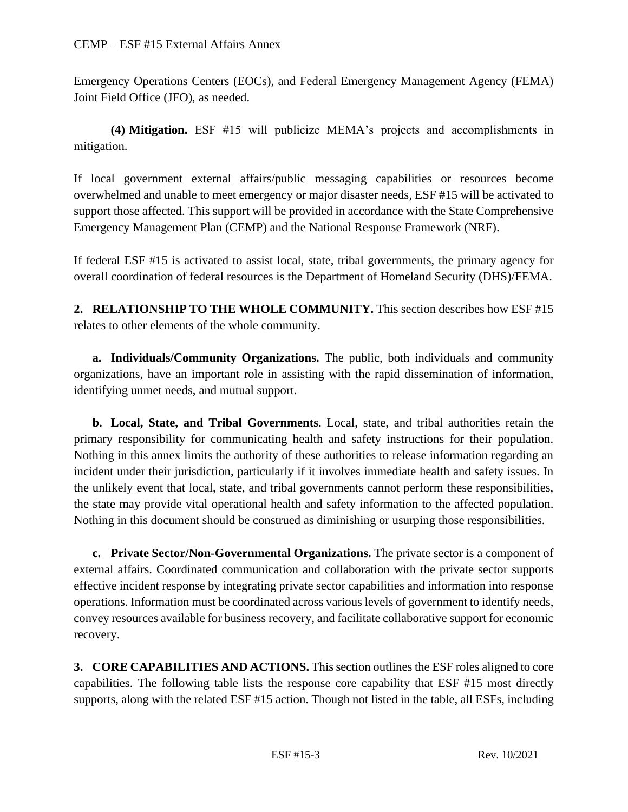Emergency Operations Centers (EOCs), and Federal Emergency Management Agency (FEMA) Joint Field Office (JFO), as needed.

**(4) Mitigation.** ESF #15 will publicize MEMA's projects and accomplishments in mitigation.

If local government external affairs/public messaging capabilities or resources become overwhelmed and unable to meet emergency or major disaster needs, ESF #15 will be activated to support those affected. This support will be provided in accordance with the State Comprehensive Emergency Management Plan (CEMP) and the National Response Framework (NRF).

If federal ESF #15 is activated to assist local, state, tribal governments, the primary agency for overall coordination of federal resources is the Department of Homeland Security (DHS)/FEMA.

**2. RELATIONSHIP TO THE WHOLE COMMUNITY.** This section describes how ESF #15 relates to other elements of the whole community.

**a. Individuals/Community Organizations.** The public, both individuals and community organizations, have an important role in assisting with the rapid dissemination of information, identifying unmet needs, and mutual support.

**b. Local, State, and Tribal Governments**. Local, state, and tribal authorities retain the primary responsibility for communicating health and safety instructions for their population. Nothing in this annex limits the authority of these authorities to release information regarding an incident under their jurisdiction, particularly if it involves immediate health and safety issues. In the unlikely event that local, state, and tribal governments cannot perform these responsibilities, the state may provide vital operational health and safety information to the affected population. Nothing in this document should be construed as diminishing or usurping those responsibilities.

**c. Private Sector/Non-Governmental Organizations.** The private sector is a component of external affairs. Coordinated communication and collaboration with the private sector supports effective incident response by integrating private sector capabilities and information into response operations. Information must be coordinated across various levels of government to identify needs, convey resources available for business recovery, and facilitate collaborative support for economic recovery.

**3. CORE CAPABILITIES AND ACTIONS.** This section outlines the ESF roles aligned to core capabilities. The following table lists the response core capability that ESF #15 most directly supports, along with the related ESF #15 action. Though not listed in the table, all ESFs, including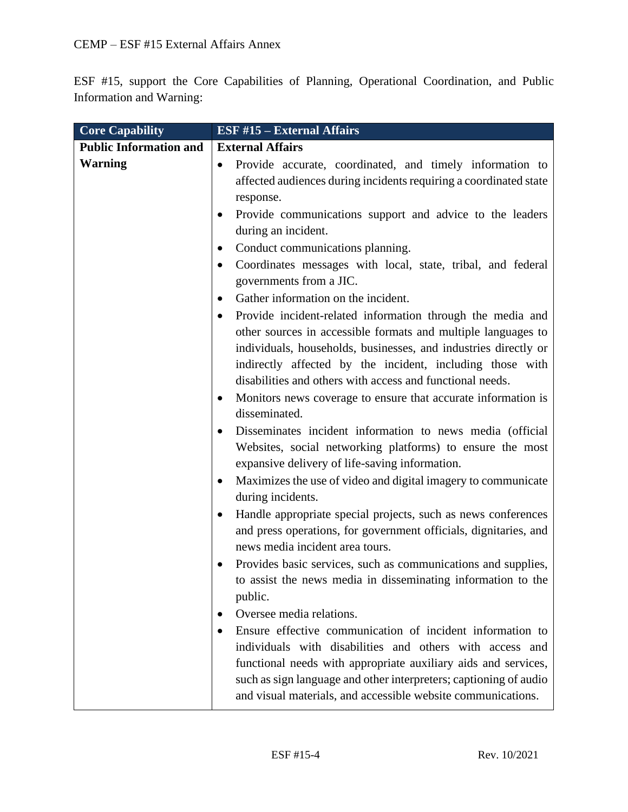ESF #15, support the Core Capabilities of Planning, Operational Coordination, and Public Information and Warning:

| <b>Core Capability</b>        | <b>ESF #15 - External Affairs</b>                                                                                                                                                                                                                                                                                                                                                                                                                                                                                                    |
|-------------------------------|--------------------------------------------------------------------------------------------------------------------------------------------------------------------------------------------------------------------------------------------------------------------------------------------------------------------------------------------------------------------------------------------------------------------------------------------------------------------------------------------------------------------------------------|
| <b>Public Information and</b> | <b>External Affairs</b>                                                                                                                                                                                                                                                                                                                                                                                                                                                                                                              |
| <b>Warning</b>                | Provide accurate, coordinated, and timely information to<br>affected audiences during incidents requiring a coordinated state                                                                                                                                                                                                                                                                                                                                                                                                        |
|                               | response.                                                                                                                                                                                                                                                                                                                                                                                                                                                                                                                            |
|                               | Provide communications support and advice to the leaders                                                                                                                                                                                                                                                                                                                                                                                                                                                                             |
|                               | during an incident.                                                                                                                                                                                                                                                                                                                                                                                                                                                                                                                  |
|                               | Conduct communications planning.                                                                                                                                                                                                                                                                                                                                                                                                                                                                                                     |
|                               | Coordinates messages with local, state, tribal, and federal                                                                                                                                                                                                                                                                                                                                                                                                                                                                          |
|                               | governments from a JIC.                                                                                                                                                                                                                                                                                                                                                                                                                                                                                                              |
|                               | Gather information on the incident.                                                                                                                                                                                                                                                                                                                                                                                                                                                                                                  |
|                               | Provide incident-related information through the media and<br>other sources in accessible formats and multiple languages to<br>individuals, households, businesses, and industries directly or<br>indirectly affected by the incident, including those with<br>disabilities and others with access and functional needs.<br>Monitors news coverage to ensure that accurate information is<br>disseminated.<br>Disseminates incident information to news media (official<br>Websites, social networking platforms) to ensure the most |
|                               | expansive delivery of life-saving information.                                                                                                                                                                                                                                                                                                                                                                                                                                                                                       |
|                               | Maximizes the use of video and digital imagery to communicate<br>$\bullet$<br>during incidents.                                                                                                                                                                                                                                                                                                                                                                                                                                      |
|                               | Handle appropriate special projects, such as news conferences<br>$\bullet$<br>and press operations, for government officials, dignitaries, and<br>news media incident area tours.                                                                                                                                                                                                                                                                                                                                                    |
|                               | Provides basic services, such as communications and supplies,<br>to assist the news media in disseminating information to the<br>public.                                                                                                                                                                                                                                                                                                                                                                                             |
|                               | Oversee media relations.                                                                                                                                                                                                                                                                                                                                                                                                                                                                                                             |
|                               | Ensure effective communication of incident information to<br>individuals with disabilities and others with access and<br>functional needs with appropriate auxiliary aids and services,<br>such as sign language and other interpreters; captioning of audio<br>and visual materials, and accessible website communications.                                                                                                                                                                                                         |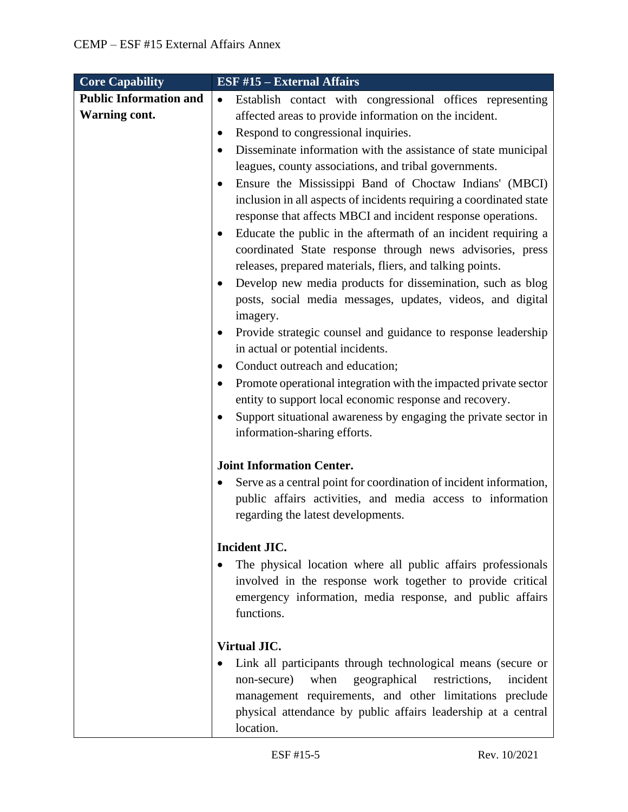| <b>Core Capability</b>        | <b>ESF #15 - External Affairs</b>                                                               |
|-------------------------------|-------------------------------------------------------------------------------------------------|
| <b>Public Information and</b> | Establish contact with congressional offices representing<br>$\bullet$                          |
| <b>Warning cont.</b>          | affected areas to provide information on the incident.                                          |
|                               | Respond to congressional inquiries.<br>٠                                                        |
|                               | Disseminate information with the assistance of state municipal                                  |
|                               | leagues, county associations, and tribal governments.                                           |
|                               | Ensure the Mississippi Band of Choctaw Indians' (MBCI)                                          |
|                               | inclusion in all aspects of incidents requiring a coordinated state                             |
|                               | response that affects MBCI and incident response operations.                                    |
|                               | Educate the public in the aftermath of an incident requiring a                                  |
|                               | coordinated State response through news advisories, press                                       |
|                               | releases, prepared materials, fliers, and talking points.                                       |
|                               | Develop new media products for dissemination, such as blog                                      |
|                               | posts, social media messages, updates, videos, and digital                                      |
|                               | imagery.                                                                                        |
|                               | Provide strategic counsel and guidance to response leadership                                   |
|                               | in actual or potential incidents.                                                               |
|                               | Conduct outreach and education;                                                                 |
|                               | Promote operational integration with the impacted private sector                                |
|                               | entity to support local economic response and recovery.                                         |
|                               | Support situational awareness by engaging the private sector in<br>information-sharing efforts. |
|                               |                                                                                                 |
|                               | <b>Joint Information Center.</b>                                                                |
|                               | Serve as a central point for coordination of incident information,                              |
|                               | public affairs activities, and media access to information                                      |
|                               | regarding the latest developments.                                                              |
|                               |                                                                                                 |
|                               | Incident JIC.                                                                                   |
|                               | The physical location where all public affairs professionals                                    |
|                               | involved in the response work together to provide critical                                      |
|                               | emergency information, media response, and public affairs<br>functions.                         |
|                               |                                                                                                 |
|                               | <b>Virtual JIC.</b>                                                                             |
|                               | Link all participants through technological means (secure or                                    |
|                               | when<br>geographical<br>restrictions,<br>non-secure)<br>incident                                |
|                               | management requirements, and other limitations preclude                                         |
|                               | physical attendance by public affairs leadership at a central                                   |
|                               | location.                                                                                       |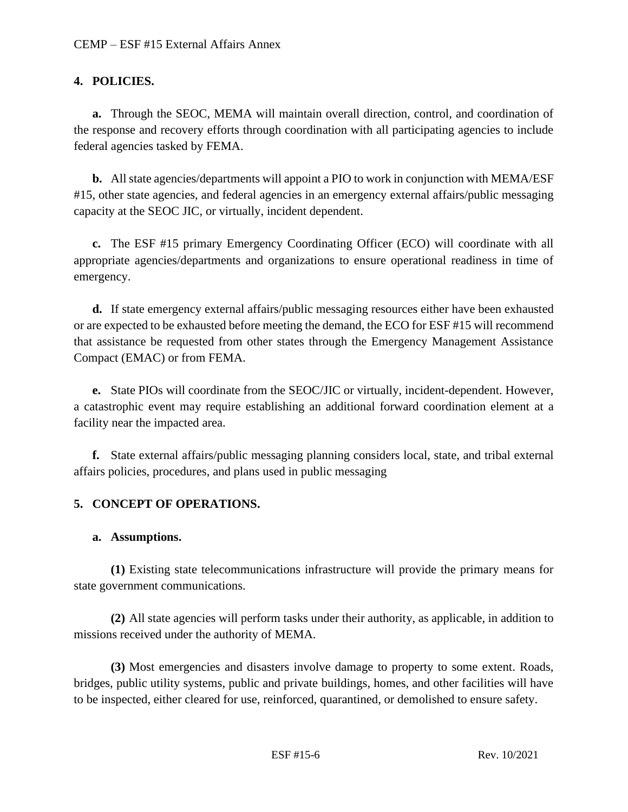### **4. POLICIES.**

**a.** Through the SEOC, MEMA will maintain overall direction, control, and coordination of the response and recovery efforts through coordination with all participating agencies to include federal agencies tasked by FEMA.

**b.** All state agencies/departments will appoint a PIO to work in conjunction with MEMA/ESF #15, other state agencies, and federal agencies in an emergency external affairs/public messaging capacity at the SEOC JIC, or virtually, incident dependent.

**c.** The ESF #15 primary Emergency Coordinating Officer (ECO) will coordinate with all appropriate agencies/departments and organizations to ensure operational readiness in time of emergency.

**d.** If state emergency external affairs/public messaging resources either have been exhausted or are expected to be exhausted before meeting the demand, the ECO for ESF #15 will recommend that assistance be requested from other states through the Emergency Management Assistance Compact (EMAC) or from FEMA.

**e.** State PIOs will coordinate from the SEOC/JIC or virtually, incident-dependent. However, a catastrophic event may require establishing an additional forward coordination element at a facility near the impacted area.

**f.** State external affairs/public messaging planning considers local, state, and tribal external affairs policies, procedures, and plans used in public messaging

## **5. CONCEPT OF OPERATIONS.**

#### **a. Assumptions.**

**(1)** Existing state telecommunications infrastructure will provide the primary means for state government communications.

**(2)** All state agencies will perform tasks under their authority, as applicable, in addition to missions received under the authority of MEMA.

**(3)** Most emergencies and disasters involve damage to property to some extent. Roads, bridges, public utility systems, public and private buildings, homes, and other facilities will have to be inspected, either cleared for use, reinforced, quarantined, or demolished to ensure safety.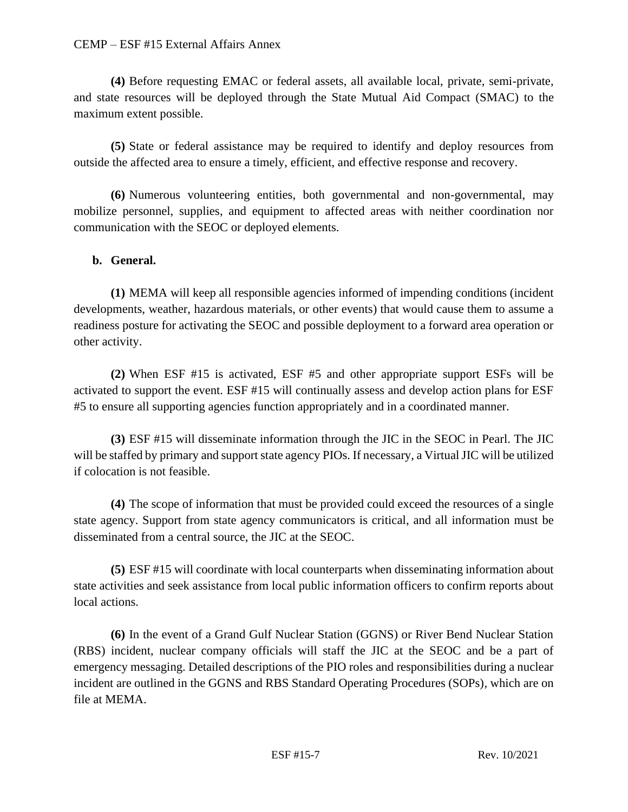#### CEMP – ESF #15 External Affairs Annex

**(4)** Before requesting EMAC or federal assets, all available local, private, semi-private, and state resources will be deployed through the State Mutual Aid Compact (SMAC) to the maximum extent possible.

**(5)** State or federal assistance may be required to identify and deploy resources from outside the affected area to ensure a timely, efficient, and effective response and recovery.

**(6)** Numerous volunteering entities, both governmental and non-governmental, may mobilize personnel, supplies, and equipment to affected areas with neither coordination nor communication with the SEOC or deployed elements.

#### **b. General.**

**(1)** MEMA will keep all responsible agencies informed of impending conditions (incident developments, weather, hazardous materials, or other events) that would cause them to assume a readiness posture for activating the SEOC and possible deployment to a forward area operation or other activity.

**(2)** When ESF #15 is activated, ESF #5 and other appropriate support ESFs will be activated to support the event. ESF #15 will continually assess and develop action plans for ESF #5 to ensure all supporting agencies function appropriately and in a coordinated manner.

**(3)** ESF #15 will disseminate information through the JIC in the SEOC in Pearl. The JIC will be staffed by primary and support state agency PIOs. If necessary, a Virtual JIC will be utilized if colocation is not feasible.

**(4)** The scope of information that must be provided could exceed the resources of a single state agency. Support from state agency communicators is critical, and all information must be disseminated from a central source, the JIC at the SEOC.

**(5)** ESF #15 will coordinate with local counterparts when disseminating information about state activities and seek assistance from local public information officers to confirm reports about local actions.

**(6)** In the event of a Grand Gulf Nuclear Station (GGNS) or River Bend Nuclear Station (RBS) incident, nuclear company officials will staff the JIC at the SEOC and be a part of emergency messaging. Detailed descriptions of the PIO roles and responsibilities during a nuclear incident are outlined in the GGNS and RBS Standard Operating Procedures (SOPs), which are on file at MEMA.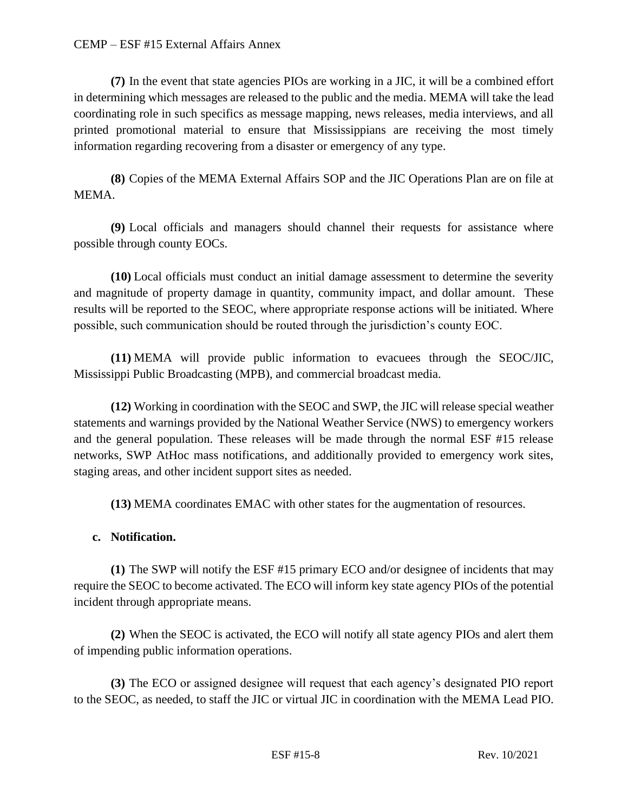#### CEMP – ESF #15 External Affairs Annex

**(7)** In the event that state agencies PIOs are working in a JIC, it will be a combined effort in determining which messages are released to the public and the media. MEMA will take the lead coordinating role in such specifics as message mapping, news releases, media interviews, and all printed promotional material to ensure that Mississippians are receiving the most timely information regarding recovering from a disaster or emergency of any type.

**(8)** Copies of the MEMA External Affairs SOP and the JIC Operations Plan are on file at MEMA.

**(9)** Local officials and managers should channel their requests for assistance where possible through county EOCs.

**(10)** Local officials must conduct an initial damage assessment to determine the severity and magnitude of property damage in quantity, community impact, and dollar amount. These results will be reported to the SEOC, where appropriate response actions will be initiated. Where possible, such communication should be routed through the jurisdiction's county EOC.

**(11)** MEMA will provide public information to evacuees through the SEOC/JIC, Mississippi Public Broadcasting (MPB), and commercial broadcast media.

**(12)** Working in coordination with the SEOC and SWP, the JIC will release special weather statements and warnings provided by the National Weather Service (NWS) to emergency workers and the general population. These releases will be made through the normal ESF #15 release networks, SWP AtHoc mass notifications, and additionally provided to emergency work sites, staging areas, and other incident support sites as needed.

**(13)** MEMA coordinates EMAC with other states for the augmentation of resources.

## **c. Notification.**

**(1)** The SWP will notify the ESF #15 primary ECO and/or designee of incidents that may require the SEOC to become activated. The ECO will inform key state agency PIOs of the potential incident through appropriate means.

**(2)** When the SEOC is activated, the ECO will notify all state agency PIOs and alert them of impending public information operations.

**(3)** The ECO or assigned designee will request that each agency's designated PIO report to the SEOC, as needed, to staff the JIC or virtual JIC in coordination with the MEMA Lead PIO.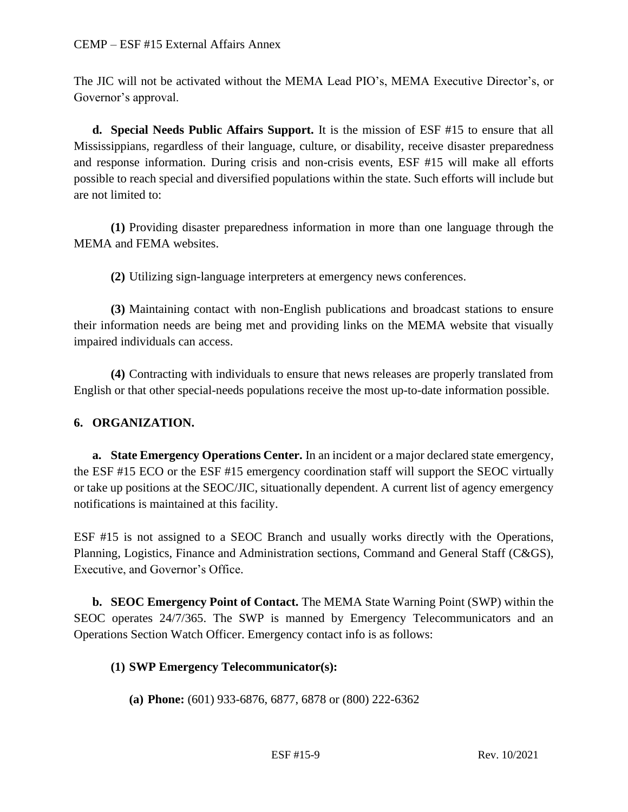The JIC will not be activated without the MEMA Lead PIO's, MEMA Executive Director's, or Governor's approval.

**d. Special Needs Public Affairs Support.** It is the mission of ESF #15 to ensure that all Mississippians, regardless of their language, culture, or disability, receive disaster preparedness and response information. During crisis and non-crisis events, ESF #15 will make all efforts possible to reach special and diversified populations within the state. Such efforts will include but are not limited to:

**(1)** Providing disaster preparedness information in more than one language through the MEMA and FEMA websites.

**(2)** Utilizing sign-language interpreters at emergency news conferences.

**(3)** Maintaining contact with non-English publications and broadcast stations to ensure their information needs are being met and providing links on the MEMA website that visually impaired individuals can access.

**(4)** Contracting with individuals to ensure that news releases are properly translated from English or that other special-needs populations receive the most up-to-date information possible.

## **6. ORGANIZATION.**

**a. State Emergency Operations Center.** In an incident or a major declared state emergency, the ESF #15 ECO or the ESF #15 emergency coordination staff will support the SEOC virtually or take up positions at the SEOC/JIC, situationally dependent. A current list of agency emergency notifications is maintained at this facility.

ESF #15 is not assigned to a SEOC Branch and usually works directly with the Operations, Planning, Logistics, Finance and Administration sections, Command and General Staff (C&GS), Executive, and Governor's Office.

**b. SEOC Emergency Point of Contact.** The MEMA State Warning Point (SWP) within the SEOC operates 24/7/365. The SWP is manned by Emergency Telecommunicators and an Operations Section Watch Officer. Emergency contact info is as follows:

#### **(1) SWP Emergency Telecommunicator(s):**

**(a) Phone:** (601) 933-6876, 6877, 6878 or (800) 222-6362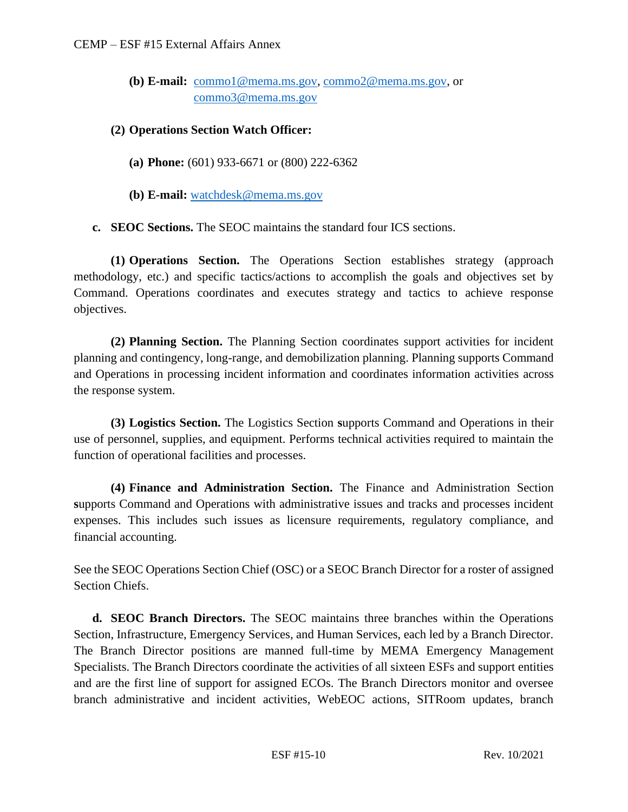**(b) E-mail:** [commo1@mema.ms.gov,](mailto:commo1@mema.ms.gov) [commo2@mema.ms.gov,](mailto:commo2@mema.ms.gov) or [commo3@mema.ms.gov](mailto:commo3@mema.ms.gov) 

#### **(2) Operations Section Watch Officer:**

- **(a) Phone:** (601) 933-6671 or (800) 222-6362
- **(b) E-mail:** [watchdesk@mema.ms.gov](mailto:watchdesk@mema.ms.gov)

**c. SEOC Sections.** The SEOC maintains the standard four ICS sections.

**(1) Operations Section.** The Operations Section establishes strategy (approach methodology, etc.) and specific tactics/actions to accomplish the goals and objectives set by Command. Operations coordinates and executes strategy and tactics to achieve response objectives.

**(2) Planning Section.** The Planning Section coordinates support activities for incident planning and contingency, long-range, and demobilization planning. Planning supports Command and Operations in processing incident information and coordinates information activities across the response system.

**(3) Logistics Section.** The Logistics Section **s**upports Command and Operations in their use of personnel, supplies, and equipment. Performs technical activities required to maintain the function of operational facilities and processes.

**(4) Finance and Administration Section.** The Finance and Administration Section **s**upports Command and Operations with administrative issues and tracks and processes incident expenses. This includes such issues as licensure requirements, regulatory compliance, and financial accounting.

See the SEOC Operations Section Chief (OSC) or a SEOC Branch Director for a roster of assigned Section Chiefs.

**d. SEOC Branch Directors.** The SEOC maintains three branches within the Operations Section, Infrastructure, Emergency Services, and Human Services, each led by a Branch Director. The Branch Director positions are manned full-time by MEMA Emergency Management Specialists. The Branch Directors coordinate the activities of all sixteen ESFs and support entities and are the first line of support for assigned ECOs. The Branch Directors monitor and oversee branch administrative and incident activities, WebEOC actions, SITRoom updates, branch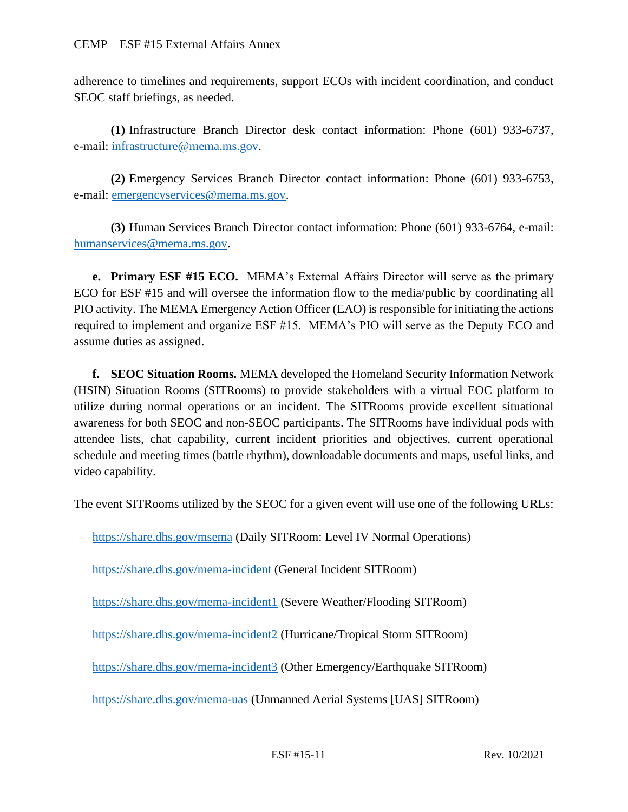adherence to timelines and requirements, support ECOs with incident coordination, and conduct SEOC staff briefings, as needed.

**(1)** Infrastructure Branch Director desk contact information: Phone (601) 933-6737, e-mail: [infrastructure@mema.ms.gov.](mailto:infrastructure@mema.ms.gov)

**(2)** Emergency Services Branch Director contact information: Phone (601) 933-6753, e-mail: [emergencyservices@mema.ms.gov.](mailto:emergencyservices@mema.ms.gov)

**(3)** Human Services Branch Director contact information: Phone (601) 933-6764, e-mail: [humanservices@mema.ms.gov.](mailto:humanservices@mema.ms.gov)

**e. Primary ESF #15 ECO.** MEMA's External Affairs Director will serve as the primary ECO for ESF #15 and will oversee the information flow to the media/public by coordinating all PIO activity. The MEMA Emergency Action Officer (EAO) is responsible for initiating the actions required to implement and organize ESF #15. MEMA's PIO will serve as the Deputy ECO and assume duties as assigned.

**f. SEOC Situation Rooms.** MEMA developed the Homeland Security Information Network (HSIN) Situation Rooms (SITRooms) to provide stakeholders with a virtual EOC platform to utilize during normal operations or an incident. The SITRooms provide excellent situational awareness for both SEOC and non-SEOC participants. The SITRooms have individual pods with attendee lists, chat capability, current incident priorities and objectives, current operational schedule and meeting times (battle rhythm), downloadable documents and maps, useful links, and video capability.

The event SITRooms utilized by the SEOC for a given event will use one of the following URLs:

<https://share.dhs.gov/msema> (Daily SITRoom: Level IV Normal Operations)

<https://share.dhs.gov/mema-incident> (General Incident SITRoom)

<https://share.dhs.gov/mema-incident1> (Severe Weather/Flooding SITRoom)

<https://share.dhs.gov/mema-incident2> (Hurricane/Tropical Storm SITRoom)

<https://share.dhs.gov/mema-incident3> (Other Emergency/Earthquake SITRoom)

<https://share.dhs.gov/mema-uas> (Unmanned Aerial Systems [UAS] SITRoom)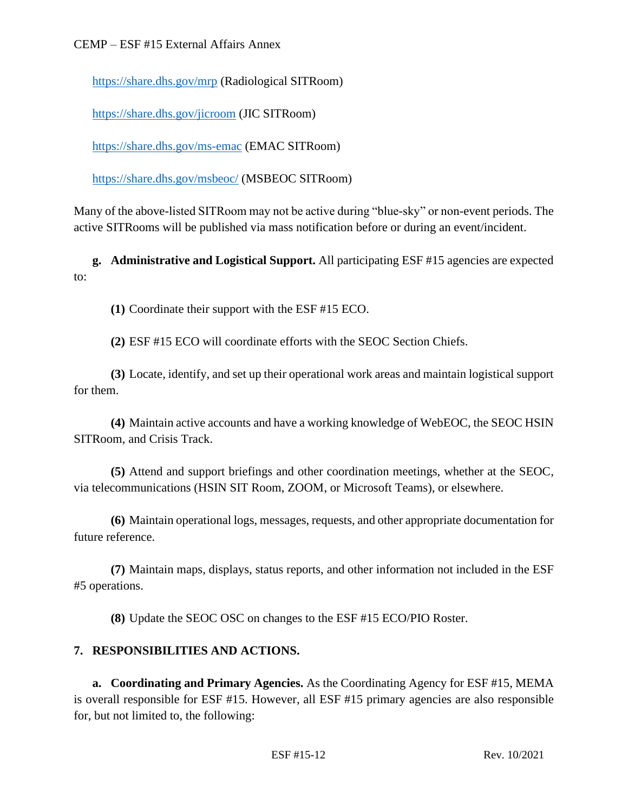<https://share.dhs.gov/mrp> (Radiological SITRoom)

<https://share.dhs.gov/jicroom> (JIC SITRoom)

<https://share.dhs.gov/ms-emac> (EMAC SITRoom)

<https://share.dhs.gov/msbeoc/> (MSBEOC SITRoom)

Many of the above-listed SITRoom may not be active during "blue-sky" or non-event periods. The active SITRooms will be published via mass notification before or during an event/incident.

**g. Administrative and Logistical Support.** All participating ESF #15 agencies are expected to:

**(1)** Coordinate their support with the ESF #15 ECO.

**(2)** ESF #15 ECO will coordinate efforts with the SEOC Section Chiefs.

**(3)** Locate, identify, and set up their operational work areas and maintain logistical support for them.

**(4)** Maintain active accounts and have a working knowledge of WebEOC, the SEOC HSIN SITRoom, and Crisis Track.

**(5)** Attend and support briefings and other coordination meetings, whether at the SEOC, via telecommunications (HSIN SIT Room, ZOOM, or Microsoft Teams), or elsewhere.

**(6)** Maintain operational logs, messages, requests, and other appropriate documentation for future reference.

**(7)** Maintain maps, displays, status reports, and other information not included in the ESF #5 operations.

**(8)** Update the SEOC OSC on changes to the ESF #15 ECO/PIO Roster.

## **7. RESPONSIBILITIES AND ACTIONS.**

**a. Coordinating and Primary Agencies.** As the Coordinating Agency for ESF #15, MEMA is overall responsible for ESF #15. However, all ESF #15 primary agencies are also responsible for, but not limited to, the following: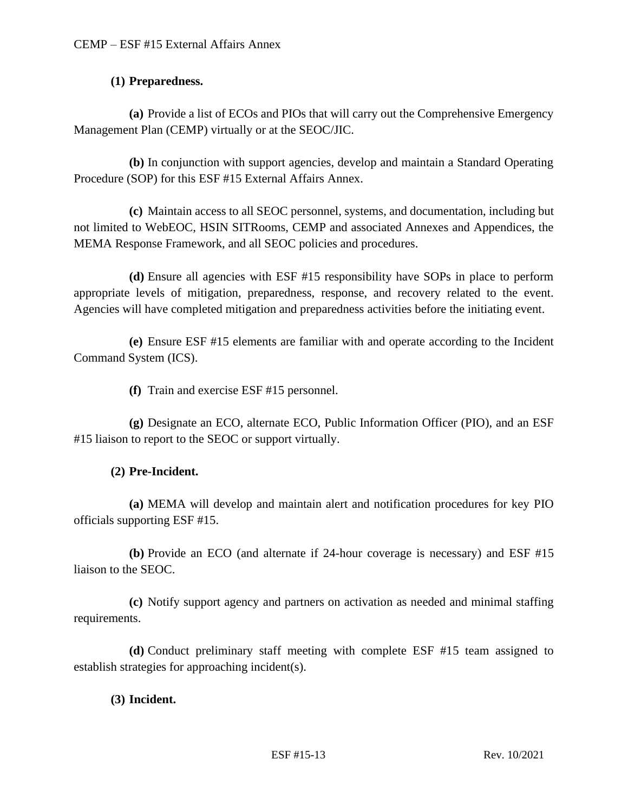### **(1) Preparedness.**

**(a)** Provide a list of ECOs and PIOs that will carry out the Comprehensive Emergency Management Plan (CEMP) virtually or at the SEOC/JIC.

**(b)** In conjunction with support agencies, develop and maintain a Standard Operating Procedure (SOP) for this ESF #15 External Affairs Annex.

**(c)** Maintain access to all SEOC personnel, systems, and documentation, including but not limited to WebEOC, HSIN SITRooms, CEMP and associated Annexes and Appendices, the MEMA Response Framework, and all SEOC policies and procedures.

**(d)** Ensure all agencies with ESF #15 responsibility have SOPs in place to perform appropriate levels of mitigation, preparedness, response, and recovery related to the event. Agencies will have completed mitigation and preparedness activities before the initiating event.

**(e)** Ensure ESF #15 elements are familiar with and operate according to the Incident Command System (ICS).

**(f)** Train and exercise ESF #15 personnel.

**(g)** Designate an ECO, alternate ECO, Public Information Officer (PIO), and an ESF #15 liaison to report to the SEOC or support virtually.

#### **(2) Pre-Incident.**

**(a)** MEMA will develop and maintain alert and notification procedures for key PIO officials supporting ESF #15.

**(b)** Provide an ECO (and alternate if 24-hour coverage is necessary) and ESF #15 liaison to the SEOC.

**(c)** Notify support agency and partners on activation as needed and minimal staffing requirements.

**(d)** Conduct preliminary staff meeting with complete ESF #15 team assigned to establish strategies for approaching incident(s).

#### **(3) Incident.**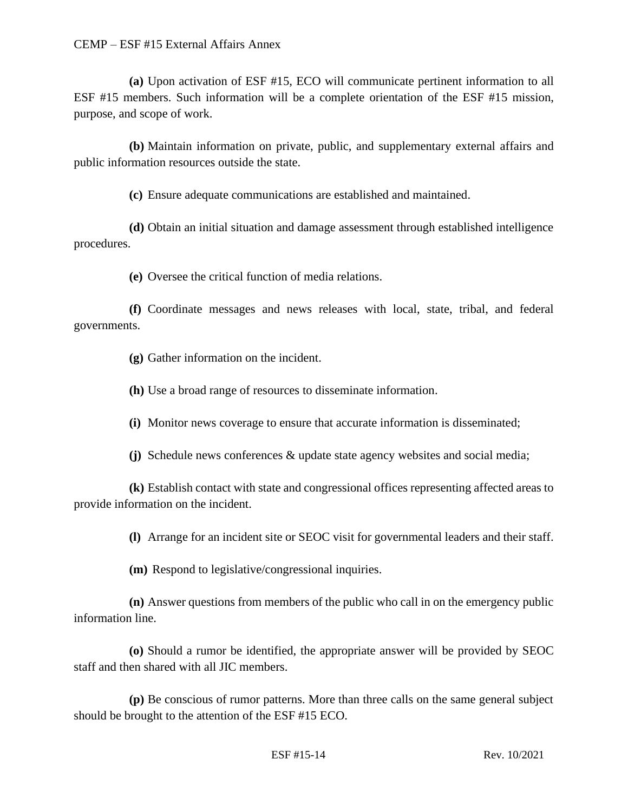**(a)** Upon activation of ESF #15, ECO will communicate pertinent information to all ESF #15 members. Such information will be a complete orientation of the ESF #15 mission, purpose, and scope of work.

**(b)** Maintain information on private, public, and supplementary external affairs and public information resources outside the state.

**(c)** Ensure adequate communications are established and maintained.

**(d)** Obtain an initial situation and damage assessment through established intelligence procedures.

**(e)** Oversee the critical function of media relations.

**(f)** Coordinate messages and news releases with local, state, tribal, and federal governments.

**(g)** Gather information on the incident.

**(h)** Use a broad range of resources to disseminate information.

**(i)** Monitor news coverage to ensure that accurate information is disseminated;

**(j)** Schedule news conferences & update state agency websites and social media;

**(k)** Establish contact with state and congressional offices representing affected areas to provide information on the incident.

**(l)** Arrange for an incident site or SEOC visit for governmental leaders and their staff.

**(m)** Respond to legislative/congressional inquiries.

**(n)** Answer questions from members of the public who call in on the emergency public information line.

**(o)** Should a rumor be identified, the appropriate answer will be provided by SEOC staff and then shared with all JIC members.

**(p)** Be conscious of rumor patterns. More than three calls on the same general subject should be brought to the attention of the ESF #15 ECO.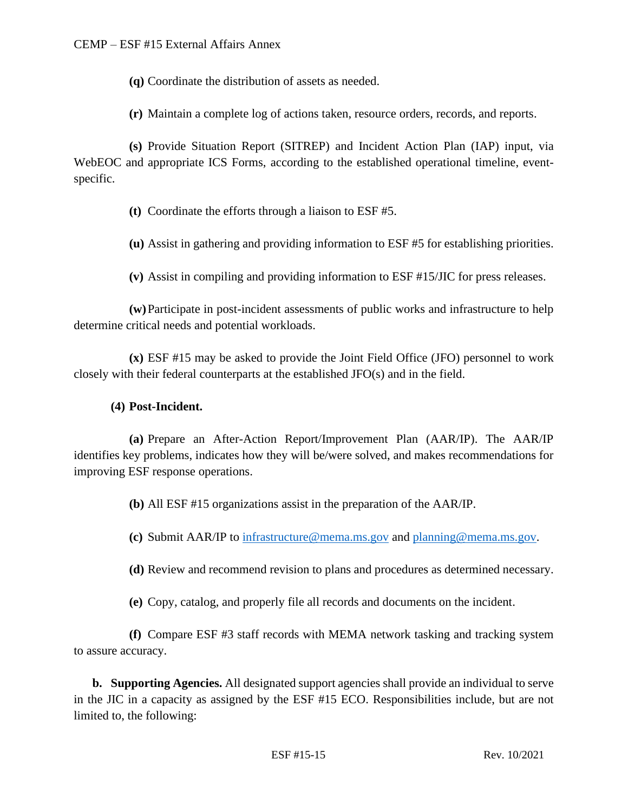**(q)** Coordinate the distribution of assets as needed.

**(r)** Maintain a complete log of actions taken, resource orders, records, and reports.

**(s)** Provide Situation Report (SITREP) and Incident Action Plan (IAP) input, via WebEOC and appropriate ICS Forms, according to the established operational timeline, eventspecific.

**(t)** Coordinate the efforts through a liaison to ESF #5.

**(u)** Assist in gathering and providing information to ESF #5 for establishing priorities.

**(v)** Assist in compiling and providing information to ESF #15/JIC for press releases.

**(w)**Participate in post-incident assessments of public works and infrastructure to help determine critical needs and potential workloads.

**(x)** ESF #15 may be asked to provide the Joint Field Office (JFO) personnel to work closely with their federal counterparts at the established JFO(s) and in the field.

#### **(4) Post-Incident.**

**(a)** Prepare an After-Action Report/Improvement Plan (AAR/IP). The AAR/IP identifies key problems, indicates how they will be/were solved, and makes recommendations for improving ESF response operations.

**(b)** All ESF #15 organizations assist in the preparation of the AAR/IP.

**(c)** Submit AAR/IP to [infrastructure@mema.ms.gov](mailto:infrastructure@mema.ms.gov) and [planning@mema.ms.gov.](mailto:planning@mema.ms.gov)

**(d)** Review and recommend revision to plans and procedures as determined necessary.

**(e)** Copy, catalog, and properly file all records and documents on the incident.

**(f)** Compare ESF #3 staff records with MEMA network tasking and tracking system to assure accuracy.

**b. Supporting Agencies.** All designated support agencies shall provide an individual to serve in the JIC in a capacity as assigned by the ESF #15 ECO. Responsibilities include, but are not limited to, the following: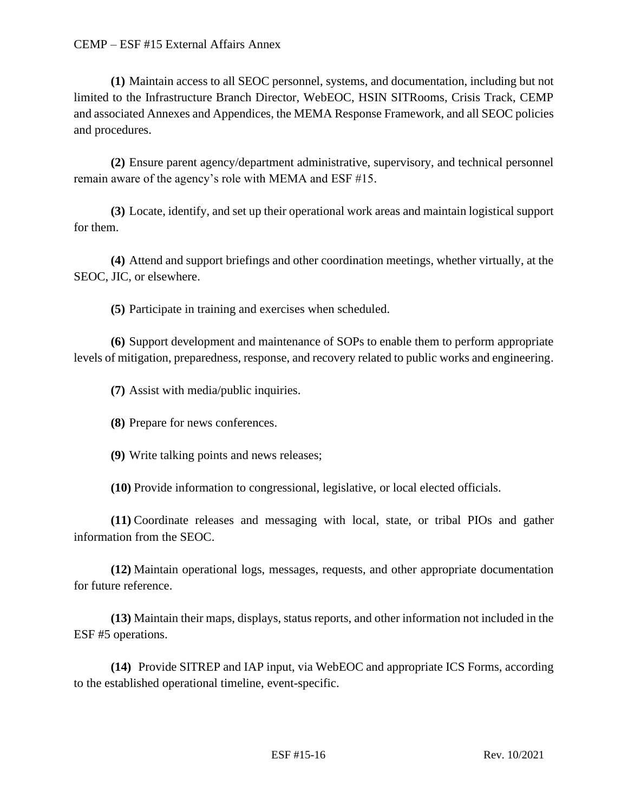**(1)** Maintain access to all SEOC personnel, systems, and documentation, including but not limited to the Infrastructure Branch Director, WebEOC, HSIN SITRooms, Crisis Track, CEMP and associated Annexes and Appendices, the MEMA Response Framework, and all SEOC policies and procedures.

**(2)** Ensure parent agency/department administrative, supervisory, and technical personnel remain aware of the agency's role with MEMA and ESF #15.

**(3)** Locate, identify, and set up their operational work areas and maintain logistical support for them.

**(4)** Attend and support briefings and other coordination meetings, whether virtually, at the SEOC, JIC, or elsewhere.

**(5)** Participate in training and exercises when scheduled.

**(6)** Support development and maintenance of SOPs to enable them to perform appropriate levels of mitigation, preparedness, response, and recovery related to public works and engineering.

**(7)** Assist with media/public inquiries.

**(8)** Prepare for news conferences.

**(9)** Write talking points and news releases;

**(10)** Provide information to congressional, legislative, or local elected officials.

**(11)** Coordinate releases and messaging with local, state, or tribal PIOs and gather information from the SEOC.

**(12)** Maintain operational logs, messages, requests, and other appropriate documentation for future reference.

**(13)** Maintain their maps, displays, status reports, and other information not included in the ESF #5 operations.

**(14)** Provide SITREP and IAP input, via WebEOC and appropriate ICS Forms, according to the established operational timeline, event-specific.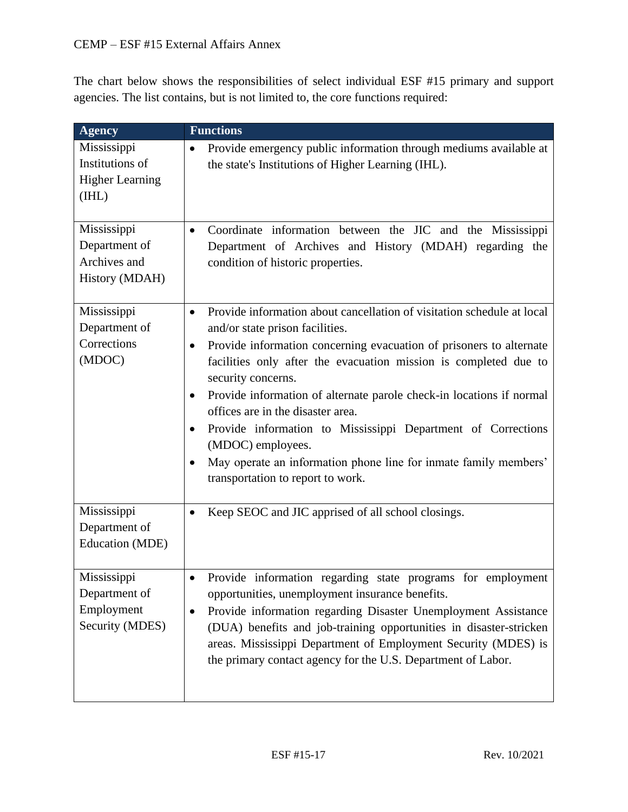The chart below shows the responsibilities of select individual ESF #15 primary and support agencies. The list contains, but is not limited to, the core functions required:

| <b>Agency</b>                                                     | <b>Functions</b>                                                                                                                                                                                                                                                                                                                                                                                                                                                                                                                                                                                                                               |
|-------------------------------------------------------------------|------------------------------------------------------------------------------------------------------------------------------------------------------------------------------------------------------------------------------------------------------------------------------------------------------------------------------------------------------------------------------------------------------------------------------------------------------------------------------------------------------------------------------------------------------------------------------------------------------------------------------------------------|
| Mississippi<br>Institutions of<br><b>Higher Learning</b><br>(IHL) | Provide emergency public information through mediums available at<br>$\bullet$<br>the state's Institutions of Higher Learning (IHL).                                                                                                                                                                                                                                                                                                                                                                                                                                                                                                           |
| Mississippi<br>Department of<br>Archives and<br>History (MDAH)    | Coordinate information between the JIC and the Mississippi<br>$\bullet$<br>Department of Archives and History (MDAH) regarding the<br>condition of historic properties.                                                                                                                                                                                                                                                                                                                                                                                                                                                                        |
| Mississippi<br>Department of<br>Corrections<br>(MDOC)             | Provide information about cancellation of visitation schedule at local<br>$\bullet$<br>and/or state prison facilities.<br>Provide information concerning evacuation of prisoners to alternate<br>$\bullet$<br>facilities only after the evacuation mission is completed due to<br>security concerns.<br>Provide information of alternate parole check-in locations if normal<br>$\bullet$<br>offices are in the disaster area.<br>Provide information to Mississippi Department of Corrections<br>٠<br>(MDOC) employees.<br>May operate an information phone line for inmate family members'<br>$\bullet$<br>transportation to report to work. |
| Mississippi<br>Department of<br><b>Education</b> (MDE)            | Keep SEOC and JIC apprised of all school closings.<br>٠                                                                                                                                                                                                                                                                                                                                                                                                                                                                                                                                                                                        |
| Mississippi<br>Department of<br>Employment<br>Security (MDES)     | Provide information regarding state programs for employment<br>opportunities, unemployment insurance benefits.<br>Provide information regarding Disaster Unemployment Assistance<br>٠<br>(DUA) benefits and job-training opportunities in disaster-stricken<br>areas. Mississippi Department of Employment Security (MDES) is<br>the primary contact agency for the U.S. Department of Labor.                                                                                                                                                                                                                                                  |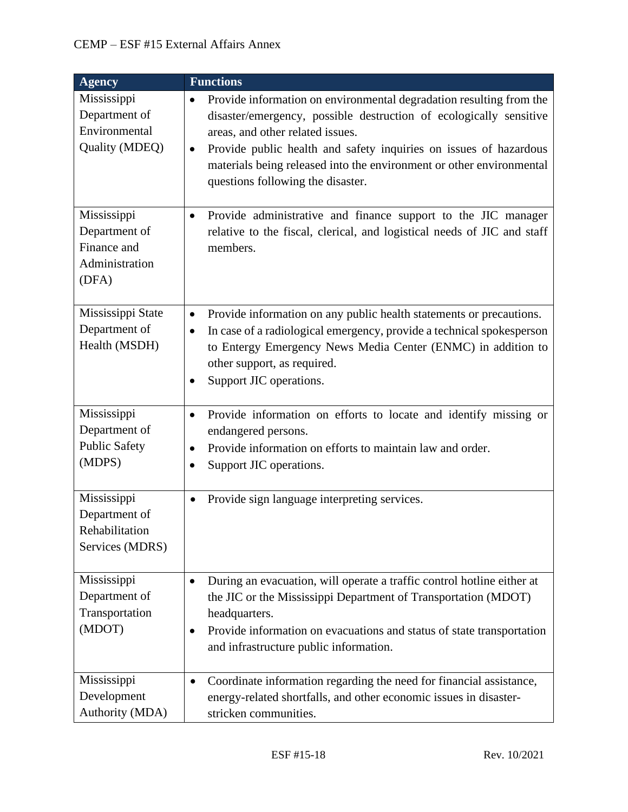| <b>Agency</b>                                                          | <b>Functions</b>                                                                                                                                                                                                                                                                                                                                                                          |
|------------------------------------------------------------------------|-------------------------------------------------------------------------------------------------------------------------------------------------------------------------------------------------------------------------------------------------------------------------------------------------------------------------------------------------------------------------------------------|
| Mississippi<br>Department of<br>Environmental<br>Quality (MDEQ)        | Provide information on environmental degradation resulting from the<br>$\bullet$<br>disaster/emergency, possible destruction of ecologically sensitive<br>areas, and other related issues.<br>Provide public health and safety inquiries on issues of hazardous<br>$\bullet$<br>materials being released into the environment or other environmental<br>questions following the disaster. |
| Mississippi<br>Department of<br>Finance and<br>Administration<br>(DFA) | Provide administrative and finance support to the JIC manager<br>$\bullet$<br>relative to the fiscal, clerical, and logistical needs of JIC and staff<br>members.                                                                                                                                                                                                                         |
| Mississippi State<br>Department of<br>Health (MSDH)                    | Provide information on any public health statements or precautions.<br>$\bullet$<br>In case of a radiological emergency, provide a technical spokesperson<br>$\bullet$<br>to Entergy Emergency News Media Center (ENMC) in addition to<br>other support, as required.<br>Support JIC operations.<br>$\bullet$                                                                             |
| Mississippi<br>Department of<br><b>Public Safety</b><br>(MDPS)         | Provide information on efforts to locate and identify missing or<br>$\bullet$<br>endangered persons.<br>Provide information on efforts to maintain law and order.<br>$\bullet$<br>Support JIC operations.<br>٠                                                                                                                                                                            |
| Mississippi<br>Department of<br>Rehabilitation<br>Services (MDRS)      | Provide sign language interpreting services.<br>$\bullet$                                                                                                                                                                                                                                                                                                                                 |
| Mississippi<br>Department of<br>Transportation<br>(MDOT)               | During an evacuation, will operate a traffic control hotline either at<br>$\bullet$<br>the JIC or the Mississippi Department of Transportation (MDOT)<br>headquarters.<br>Provide information on evacuations and status of state transportation<br>$\bullet$<br>and infrastructure public information.                                                                                    |
| Mississippi<br>Development<br>Authority (MDA)                          | Coordinate information regarding the need for financial assistance,<br>$\bullet$<br>energy-related shortfalls, and other economic issues in disaster-<br>stricken communities.                                                                                                                                                                                                            |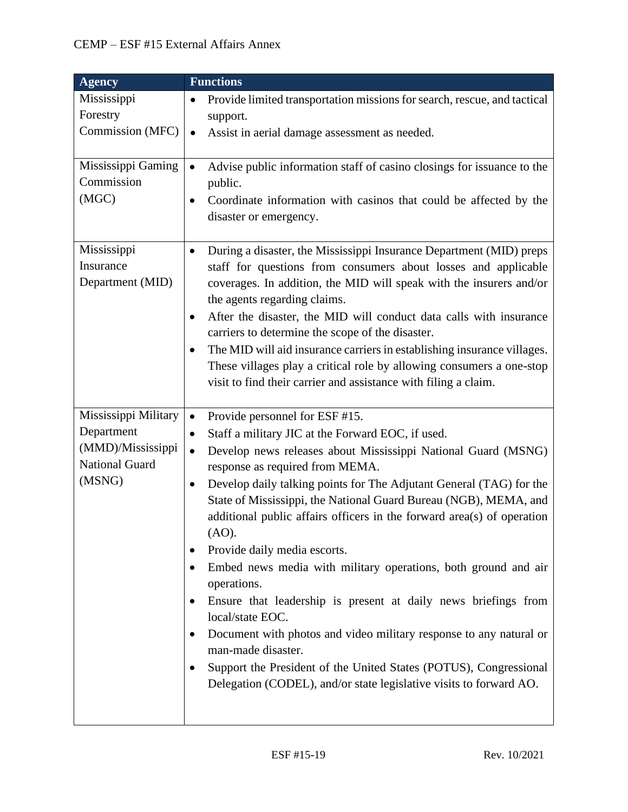| <b>Agency</b>                                                                              | <b>Functions</b>                                                                                                                                                                                                                                                                                                                                                                                                                                                                                                                                                                                                                                                                                                                                                                                                                                                                                                                                    |
|--------------------------------------------------------------------------------------------|-----------------------------------------------------------------------------------------------------------------------------------------------------------------------------------------------------------------------------------------------------------------------------------------------------------------------------------------------------------------------------------------------------------------------------------------------------------------------------------------------------------------------------------------------------------------------------------------------------------------------------------------------------------------------------------------------------------------------------------------------------------------------------------------------------------------------------------------------------------------------------------------------------------------------------------------------------|
| Mississippi<br>Forestry<br>Commission (MFC)                                                | Provide limited transportation missions for search, rescue, and tactical<br>$\bullet$<br>support.<br>Assist in aerial damage assessment as needed.<br>$\bullet$                                                                                                                                                                                                                                                                                                                                                                                                                                                                                                                                                                                                                                                                                                                                                                                     |
| Mississippi Gaming<br>Commission<br>(MGC)                                                  | Advise public information staff of casino closings for issuance to the<br>$\bullet$<br>public.<br>Coordinate information with casinos that could be affected by the<br>$\bullet$<br>disaster or emergency.                                                                                                                                                                                                                                                                                                                                                                                                                                                                                                                                                                                                                                                                                                                                          |
| Mississippi<br>Insurance<br>Department (MID)                                               | During a disaster, the Mississippi Insurance Department (MID) preps<br>$\bullet$<br>staff for questions from consumers about losses and applicable<br>coverages. In addition, the MID will speak with the insurers and/or<br>the agents regarding claims.<br>After the disaster, the MID will conduct data calls with insurance<br>$\bullet$<br>carriers to determine the scope of the disaster.<br>The MID will aid insurance carriers in establishing insurance villages.<br>$\bullet$<br>These villages play a critical role by allowing consumers a one-stop<br>visit to find their carrier and assistance with filing a claim.                                                                                                                                                                                                                                                                                                                 |
| Mississippi Military<br>Department<br>(MMD)/Mississippi<br><b>National Guard</b><br>(MSNG) | Provide personnel for ESF #15.<br>$\bullet$<br>Staff a military JIC at the Forward EOC, if used.<br>$\bullet$<br>Develop news releases about Mississippi National Guard (MSNG)<br>$\bullet$<br>response as required from MEMA.<br>Develop daily talking points for The Adjutant General (TAG) for the<br>٠<br>State of Mississippi, the National Guard Bureau (NGB), MEMA, and<br>additional public affairs officers in the forward area(s) of operation<br>(AO).<br>Provide daily media escorts.<br>٠<br>Embed news media with military operations, both ground and air<br>$\bullet$<br>operations.<br>Ensure that leadership is present at daily news briefings from<br>$\bullet$<br>local/state EOC.<br>Document with photos and video military response to any natural or<br>٠<br>man-made disaster.<br>Support the President of the United States (POTUS), Congressional<br>Delegation (CODEL), and/or state legislative visits to forward AO. |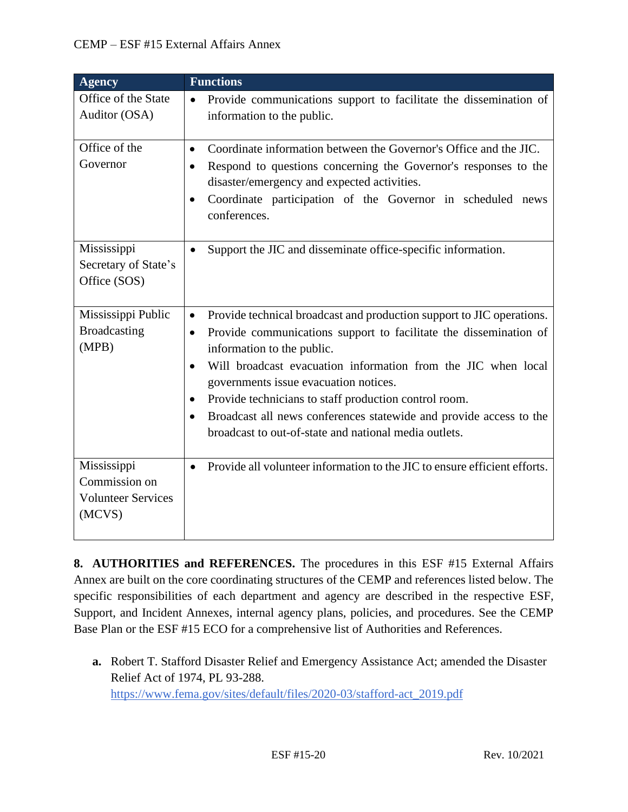| <b>Agency</b>                                                       | <b>Functions</b>                                                                                                                                                                                                                                                                                                                                                                                                                                                                                                                            |
|---------------------------------------------------------------------|---------------------------------------------------------------------------------------------------------------------------------------------------------------------------------------------------------------------------------------------------------------------------------------------------------------------------------------------------------------------------------------------------------------------------------------------------------------------------------------------------------------------------------------------|
| Office of the State<br>Auditor (OSA)                                | Provide communications support to facilitate the dissemination of<br>$\bullet$<br>information to the public.                                                                                                                                                                                                                                                                                                                                                                                                                                |
|                                                                     |                                                                                                                                                                                                                                                                                                                                                                                                                                                                                                                                             |
| Office of the<br>Governor                                           | Coordinate information between the Governor's Office and the JIC.<br>$\bullet$<br>Respond to questions concerning the Governor's responses to the<br>$\bullet$<br>disaster/emergency and expected activities.<br>Coordinate participation of the Governor in scheduled news<br>$\bullet$<br>conferences.                                                                                                                                                                                                                                    |
| Mississippi<br>Secretary of State's<br>Office (SOS)                 | Support the JIC and disseminate office-specific information.<br>$\bullet$                                                                                                                                                                                                                                                                                                                                                                                                                                                                   |
| Mississippi Public<br>Broadcasting<br>(MPB)                         | Provide technical broadcast and production support to JIC operations.<br>$\bullet$<br>Provide communications support to facilitate the dissemination of<br>$\bullet$<br>information to the public.<br>Will broadcast evacuation information from the JIC when local<br>$\bullet$<br>governments issue evacuation notices.<br>Provide technicians to staff production control room.<br>$\bullet$<br>Broadcast all news conferences statewide and provide access to the<br>$\bullet$<br>broadcast to out-of-state and national media outlets. |
| Mississippi<br>Commission on<br><b>Volunteer Services</b><br>(MCVS) | Provide all volunteer information to the JIC to ensure efficient efforts.<br>$\bullet$                                                                                                                                                                                                                                                                                                                                                                                                                                                      |

**8. AUTHORITIES and REFERENCES.** The procedures in this ESF #15 External Affairs Annex are built on the core coordinating structures of the CEMP and references listed below. The specific responsibilities of each department and agency are described in the respective ESF, Support, and Incident Annexes, internal agency plans, policies, and procedures. See the CEMP Base Plan or the ESF #15 ECO for a comprehensive list of Authorities and References.

**a.** Robert T. Stafford Disaster Relief and Emergency Assistance Act; amended the Disaster Relief Act of 1974, PL 93-288. [https://www.fema.gov/sites/default/files/2020-03/stafford-act\\_2019.pdf](https://www.fema.gov/sites/default/files/2020-03/stafford-act_2019.pdf)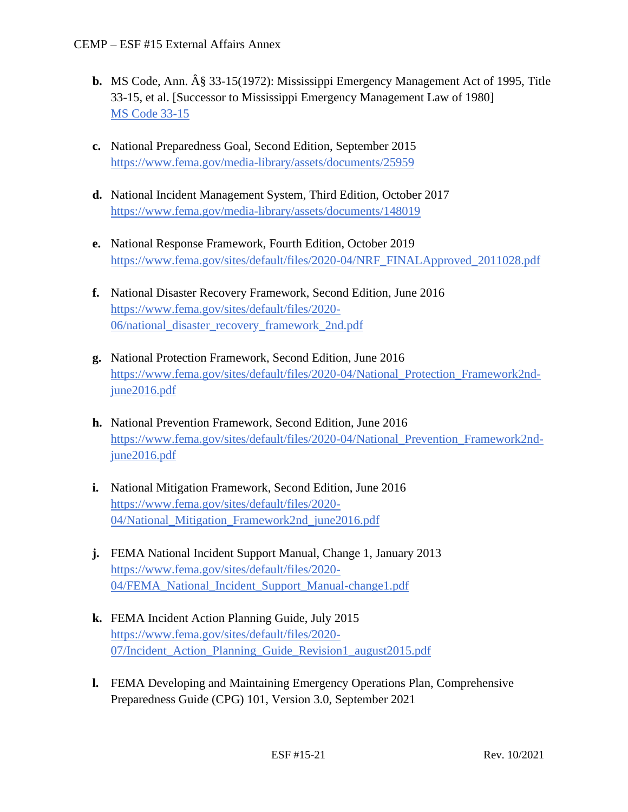- **b.** MS Code, Ann. § 33-15(1972): Mississippi Emergency Management Act of 1995, Title 33-15, et al. [Successor to Mississippi Emergency Management Law of 1980] [MS Code 33-15](https://law.justia.com/codes/mississippi/2010/title-33/15/)
- **c.** National Preparedness Goal, Second Edition, September 2015 <https://www.fema.gov/media-library/assets/documents/25959>
- **d.** National Incident Management System, Third Edition, October 2017 <https://www.fema.gov/media-library/assets/documents/148019>
- **e.** National Response Framework, Fourth Edition, October 2019 [https://www.fema.gov/sites/default/files/2020-04/NRF\\_FINALApproved\\_2011028.pdf](https://www.fema.gov/sites/default/files/2020-04/NRF_FINALApproved_2011028.pdf)
- **f.** National Disaster Recovery Framework, Second Edition, June 2016 [https://www.fema.gov/sites/default/files/2020-](https://www.fema.gov/sites/default/files/2020-06/national_disaster_recovery_framework_2nd.pdf) [06/national\\_disaster\\_recovery\\_framework\\_2nd.pdf](https://www.fema.gov/sites/default/files/2020-06/national_disaster_recovery_framework_2nd.pdf)
- **g.** National Protection Framework, Second Edition, June 2016 [https://www.fema.gov/sites/default/files/2020-04/National\\_Protection\\_Framework2nd](https://www.fema.gov/sites/default/files/2020-04/National_Protection_Framework2nd-june2016.pdf)[june2016.pdf](https://www.fema.gov/sites/default/files/2020-04/National_Protection_Framework2nd-june2016.pdf)
- **h.** National Prevention Framework, Second Edition, June 2016 https://www.fema.gov/sites/default/files/2020-04/National Prevention Framework2nd[june2016.pdf](https://www.fema.gov/sites/default/files/2020-04/National_Prevention_Framework2nd-june2016.pdf)
- **i.** National Mitigation Framework, Second Edition, June 2016 [https://www.fema.gov/sites/default/files/2020-](https://www.fema.gov/sites/default/files/2020-04/National_Mitigation_Framework2nd_june2016.pdf) 04/National Mitigation Framework2nd june2016.pdf
- **j.** FEMA National Incident Support Manual, Change 1, January 2013 [https://www.fema.gov/sites/default/files/2020-](https://www.fema.gov/sites/default/files/2020-04/FEMA_National_Incident_Support_Manual-change1.pdf) [04/FEMA\\_National\\_Incident\\_Support\\_Manual-change1.pdf](https://www.fema.gov/sites/default/files/2020-04/FEMA_National_Incident_Support_Manual-change1.pdf)
- **k.** FEMA Incident Action Planning Guide, July 2015 [https://www.fema.gov/sites/default/files/2020-](https://www.fema.gov/sites/default/files/2020-07/Incident_Action_Planning_Guide_Revision1_august2015.pdf) 07/Incident Action Planning Guide Revision1 august2015.pdf
- **l.** FEMA Developing and Maintaining Emergency Operations Plan, Comprehensive Preparedness Guide (CPG) 101, Version 3.0, September 2021